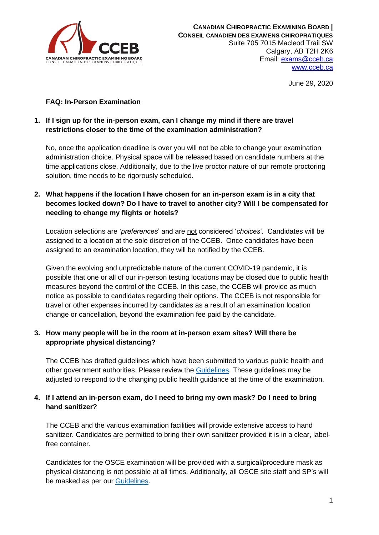

June 29, 2020

## **FAQ: In-Person Examination**

## **1. If I sign up for the in-person exam, can I change my mind if there are travel restrictions closer to the time of the examination administration?**

No, once the application deadline is over you will not be able to change your examination administration choice. Physical space will be released based on candidate numbers at the time applications close. Additionally, due to the live proctor nature of our remote proctoring solution, time needs to be rigorously scheduled.

# **2. What happens if the location I have chosen for an in-person exam is in a city that becomes locked down? Do I have to travel to another city? Will I be compensated for needing to change my flights or hotels?**

Location selections are *'preferences*' and are not considered '*choices'*. Candidates will be assigned to a location at the sole discretion of the CCEB. Once candidates have been assigned to an examination location, they will be notified by the CCEB.

Given the evolving and unpredictable nature of the current COVID-19 pandemic, it is possible that one or all of our in-person testing locations may be closed due to public health measures beyond the control of the CCEB. In this case, the CCEB will provide as much notice as possible to candidates regarding their options. The CCEB is not responsible for travel or other expenses incurred by candidates as a result of an examination location change or cancellation, beyond the examination fee paid by the candidate.

## **3. How many people will be in the room at in-person exam sites? Will there be appropriate physical distancing?**

The CCEB has drafted guidelines which have been submitted to various public health and other government authorities. Please review the [Guidelines.](https://cceb.ca/docs/Guidelines-for-testing-organization_EN.D0620.pdf) These guidelines may be adjusted to respond to the changing public health guidance at the time of the examination.

## **4. If I attend an in-person exam, do I need to bring my own mask? Do I need to bring hand sanitizer?**

The CCEB and the various examination facilities will provide extensive access to hand sanitizer. Candidates are permitted to bring their own sanitizer provided it is in a clear, labelfree container.

Candidates for the OSCE examination will be provided with a surgical/procedure mask as physical distancing is not possible at all times. Additionally, all OSCE site staff and SP's will be masked as per our [Guidelines.](https://cceb.ca/docs/Guidelines-for-testing-organization_EN.D0620.pdf)